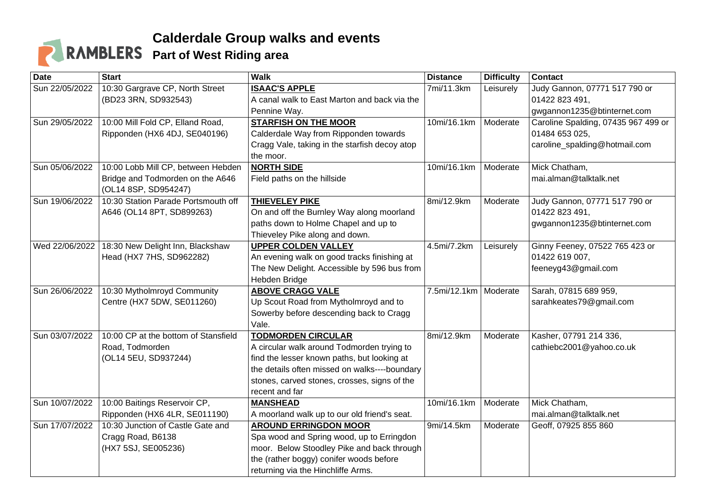## **Calderdale Group walks and events Part of West Riding area**

| <b>Date</b>    | <b>Start</b>                         | <b>Walk</b>                                   | <b>Distance</b>         | <b>Difficulty</b> | <b>Contact</b>                      |
|----------------|--------------------------------------|-----------------------------------------------|-------------------------|-------------------|-------------------------------------|
| Sun 22/05/2022 | 10:30 Gargrave CP, North Street      | <b>ISAAC'S APPLE</b>                          | 7mi/11.3km              | Leisurely         | Judy Gannon, 07771 517 790 or       |
|                | (BD23 3RN, SD932543)                 | A canal walk to East Marton and back via the  |                         |                   | 01422 823 491,                      |
|                |                                      | Pennine Way.                                  |                         |                   | gwgannon1235@btinternet.com         |
| Sun 29/05/2022 | 10:00 Mill Fold CP, Elland Road,     | <b>STARFISH ON THE MOOR</b>                   | 10mi/16.1km             | Moderate          | Caroline Spalding, 07435 967 499 or |
|                | Ripponden (HX6 4DJ, SE040196)        | Calderdale Way from Ripponden towards         |                         |                   | 01484 653 025,                      |
|                |                                      | Cragg Vale, taking in the starfish decoy atop |                         |                   | caroline_spalding@hotmail.com       |
|                |                                      | the moor.                                     |                         |                   |                                     |
| Sun 05/06/2022 | 10:00 Lobb Mill CP, between Hebden   | <b>NORTH SIDE</b>                             | 10mi/16.1km             | Moderate          | Mick Chatham,                       |
|                | Bridge and Todmorden on the A646     | Field paths on the hillside                   |                         |                   | mai.alman@talktalk.net              |
|                | (OL14 8SP, SD954247)                 |                                               |                         |                   |                                     |
| Sun 19/06/2022 | 10:30 Station Parade Portsmouth off  | <b>THIEVELEY PIKE</b>                         | 8mi/12.9km              | Moderate          | Judy Gannon, 07771 517 790 or       |
|                | A646 (OL14 8PT, SD899263)            | On and off the Burnley Way along moorland     |                         |                   | 01422 823 491,                      |
|                |                                      | paths down to Holme Chapel and up to          |                         |                   | gwgannon1235@btinternet.com         |
|                |                                      | Thieveley Pike along and down.                |                         |                   |                                     |
| Wed 22/06/2022 | 18:30 New Delight Inn, Blackshaw     | <b>UPPER COLDEN VALLEY</b>                    | 4.5mi/7.2km             | Leisurely         | Ginny Feeney, 07522 765 423 or      |
|                | Head (HX7 7HS, SD962282)             | An evening walk on good tracks finishing at   |                         |                   | 01422 619 007,                      |
|                |                                      | The New Delight. Accessible by 596 bus from   |                         |                   | feeneyg43@gmail.com                 |
|                |                                      | Hebden Bridge                                 |                         |                   |                                     |
| Sun 26/06/2022 | 10:30 Mytholmroyd Community          | <b>ABOVE CRAGG VALE</b>                       | 7.5mi/12.1km   Moderate |                   | Sarah, 07815 689 959,               |
|                | Centre (HX7 5DW, SE011260)           | Up Scout Road from Mytholmroyd and to         |                         |                   | sarahkeates79@gmail.com             |
|                |                                      | Sowerby before descending back to Cragg       |                         |                   |                                     |
|                |                                      | Vale.                                         |                         |                   |                                     |
| Sun 03/07/2022 | 10:00 CP at the bottom of Stansfield | <b>TODMORDEN CIRCULAR</b>                     | 8mi/12.9km              | Moderate          | Kasher, 07791 214 336,              |
|                | Road, Todmorden                      | A circular walk around Todmorden trying to    |                         |                   | cathiebc2001@yahoo.co.uk            |
|                | (OL14 5EU, SD937244)                 | find the lesser known paths, but looking at   |                         |                   |                                     |
|                |                                      | the details often missed on walks----boundary |                         |                   |                                     |
|                |                                      | stones, carved stones, crosses, signs of the  |                         |                   |                                     |
|                |                                      | recent and far                                |                         |                   |                                     |
| Sun 10/07/2022 | 10:00 Baitings Reservoir CP,         | <b>MANSHEAD</b>                               | 10mi/16.1km             | Moderate          | Mick Chatham,                       |
|                | Ripponden (HX6 4LR, SE011190)        | A moorland walk up to our old friend's seat.  |                         |                   | mai.alman@talktalk.net              |
| Sun 17/07/2022 | 10:30 Junction of Castle Gate and    | <b>AROUND ERRINGDON MOOR</b>                  | 9mi/14.5km              | Moderate          | Geoff, 07925 855 860                |
|                | Cragg Road, B6138                    | Spa wood and Spring wood, up to Erringdon     |                         |                   |                                     |
|                | (HX7 5SJ, SE005236)                  | moor. Below Stoodley Pike and back through    |                         |                   |                                     |
|                |                                      | the (rather boggy) conifer woods before       |                         |                   |                                     |
|                |                                      | returning via the Hinchliffe Arms.            |                         |                   |                                     |